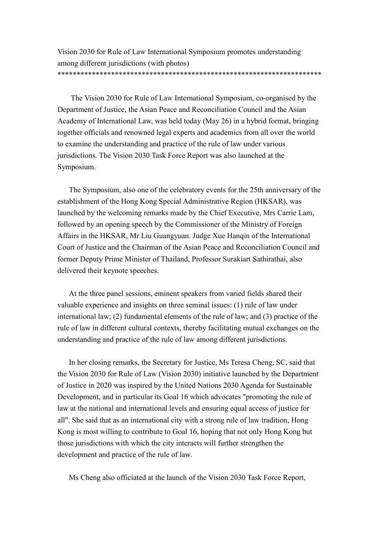Vision 2030 for Rule of Law International Symposium promotes understanding among different jurisdictions (with photos)

## \*\*\*\*\*\*\*\*\*\*\*\*\*\*\*\*\*\*\*\*\*\*\*\*\*\*\*\*\*\*\*\*\*\*\*\*\*\*\*\*\*\*\*\*\*\*\*\*\*\*\*\*\*\*\*\*\*\*\*\*\*\*\*\*\*\*\*\*\*

The Vision 2030 for Rule of Law International Symposium, co-organised by the Department of Justice, the Asian Peace and Reconciliation Council and the Asian Academy of International Law, was held today (May 26) in a hybrid format, bringing together officials and renowned legal experts and academics from all over the world to examine the understanding and practice of the rule of law under various jurisdictions. The Vision 2030 Task Force Report was also launched at the Symposium.

The Symposium, also one of the celebratory events for the 25th anniversary of the establishment of the Hong Kong Special Administrative Region (HKSAR), was launched by the welcoming remarks made by the Chief Executive, Mrs Carrie Lam, followed by an opening speech by the Commissioner of the Ministry of Foreign Affairs in the HKSAR, Mr Liu Guangyuan. Judge Xue Hanqin of the International Court of Justice and the Chairman of the Asian Peace and Reconciliation Council and former Deputy Prime Minister of Thailand, Professor Surakiart Sathirathai, also delivered their keynote speeches.

At the three panel sessions, eminent speakers from varied fields shared their valuable experience and insights on three seminal issues: (1) rule of law under international law; (2) fundamental elements of the rule of law; and (3) practice of the rule of law in different cultural contexts, thereby facilitating mutual exchanges on the understanding and practice of the rule of law among different jurisdictions.

In her closing remarks, the Secretary for Justice, Ms Teresa Cheng, SC, said that the Vision 2030 for Rule of Law (Vision 2030) initiative launched by the Department of Justice in 2020 was inspired by the United Nations 2030 Agenda for Sustainable Development, and in particular its Goal 16 which advocates "promoting the rule of law at the national and international levels and ensuring equal access of justice for all". She said that as an international city with a strong rule of law tradition, Hong Kong is most willing to contribute to Goal 16, hoping that not only Hong Kong but those jurisdictions with which the city interacts will further strengthen the development and practice of the rule of law.

Ms Cheng also officiated at the launch of the Vision 2030 Task Force Report,